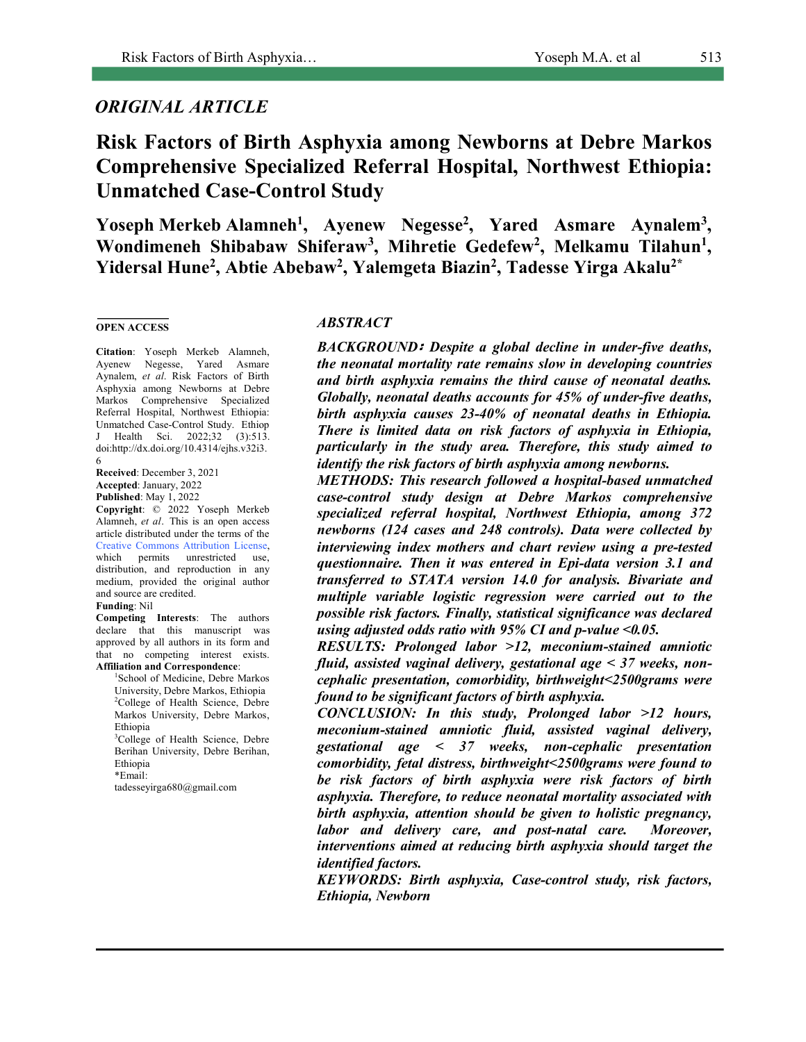# *ORIGINAL ARTICLE*

**Risk Factors of Birth Asphyxia among Newborns at Debre Markos Comprehensive Specialized Referral Hospital, Northwest Ethiopia: Unmatched Case-Control Study**

Yoseph Merkeb Alamneh<sup>1</sup>, Ayenew Negesse<sup>2</sup>, Yared Asmare Aynalem<sup>3</sup>, Wondimeneh Shibabaw Shiferaw<sup>3</sup>, Mihretie Gedefew<sup>2</sup>, Melkamu Tilahun<sup>1</sup>, **Yidersal Hune2 , Abtie Abebaw2 , Yalemgeta Biazin2 , Tadesse Yirga Akalu2\***

#### **OPEN ACCESS**

**Citation**: Yoseph Merkeb Alamneh, Ayenew Negesse, Yared Asmare Aynalem, *et al*. Risk Factors of Birth Asphyxia among Newborns at Debre Markos Comprehensive Specialized Referral Hospital, Northwest Ethiopia: Unmatched Case-Control Study. Ethiop J Health Sci. 2022;32 (3):513. doi:http://dx.doi.org/10.4314/ejhs.v32i3. 6

**Received**: December 3, 2021 **Accepted**: January, 2022

**Published**: May 1, 2022

**Copyright**: © 2022 Yoseph Merkeb Alamneh, *et al*. This is an open access article distributed under the terms of the Creative Commons Attribution License, which permits unrestricted use, distribution, and reproduction in any medium, provided the original author and source are credited. **Funding**: Nil

**Competing Interests**: The authors declare that this manuscript was approved by all authors in its form and that no competing interest exists. **Affiliation and Correspondence**:

1 School of Medicine, Debre Markos University, Debre Markos, Ethiopia <sup>2</sup>College of Health Science, Debre Markos University, Debre Markos, Ethiopia

3 College of Health Science, Debre Berihan University, Debre Berihan, Ethiopia \*Email:

tadesseyirga680@gmail.com

#### *ABSTRACT*

*BACKGROUND*፡ *Despite a global decline in under-five deaths, the neonatal mortality rate remains slow in developing countries and birth asphyxia remains the third cause of neonatal deaths. Globally, neonatal deaths accounts for 45% of under-five deaths, birth asphyxia causes 23-40% of neonatal deaths in Ethiopia. There is limited data on risk factors of asphyxia in Ethiopia, particularly in the study area. Therefore, this study aimed to identify the risk factors of birth asphyxia among newborns.*

*METHODS: This research followed a hospital-based unmatched case-control study design at Debre Markos comprehensive specialized referral hospital, Northwest Ethiopia, among 372 newborns (124 cases and 248 controls). Data were collected by interviewing index mothers and chart review using a pre-tested questionnaire. Then it was entered in Epi-data version 3.1 and transferred to STATA version 14.0 for analysis. Bivariate and multiple variable logistic regression were carried out to the possible risk factors. Finally, statistical significance was declared using adjusted odds ratio with 95% CI and p-value <0.05.*

*RESULTS: Prolonged labor >12, meconium-stained amniotic fluid, assisted vaginal delivery, gestational age < 37 weeks, noncephalic presentation, comorbidity, birthweight<2500grams were found to be significant factors of birth asphyxia.*

*CONCLUSION: In this study, Prolonged labor >12 hours, meconium-stained amniotic fluid, assisted vaginal delivery, gestational age < 37 weeks, non-cephalic presentation comorbidity, fetal distress, birthweight<2500grams were found to be risk factors of birth asphyxia were risk factors of birth asphyxia. Therefore, to reduce neonatal mortality associated with birth asphyxia, attention should be given to holistic pregnancy, labor and delivery care, and post-natal care. Moreover, interventions aimed at reducing birth asphyxia should target the identified factors.*

*KEYWORDS: Birth asphyxia, Case-control study, risk factors, Ethiopia, Newborn*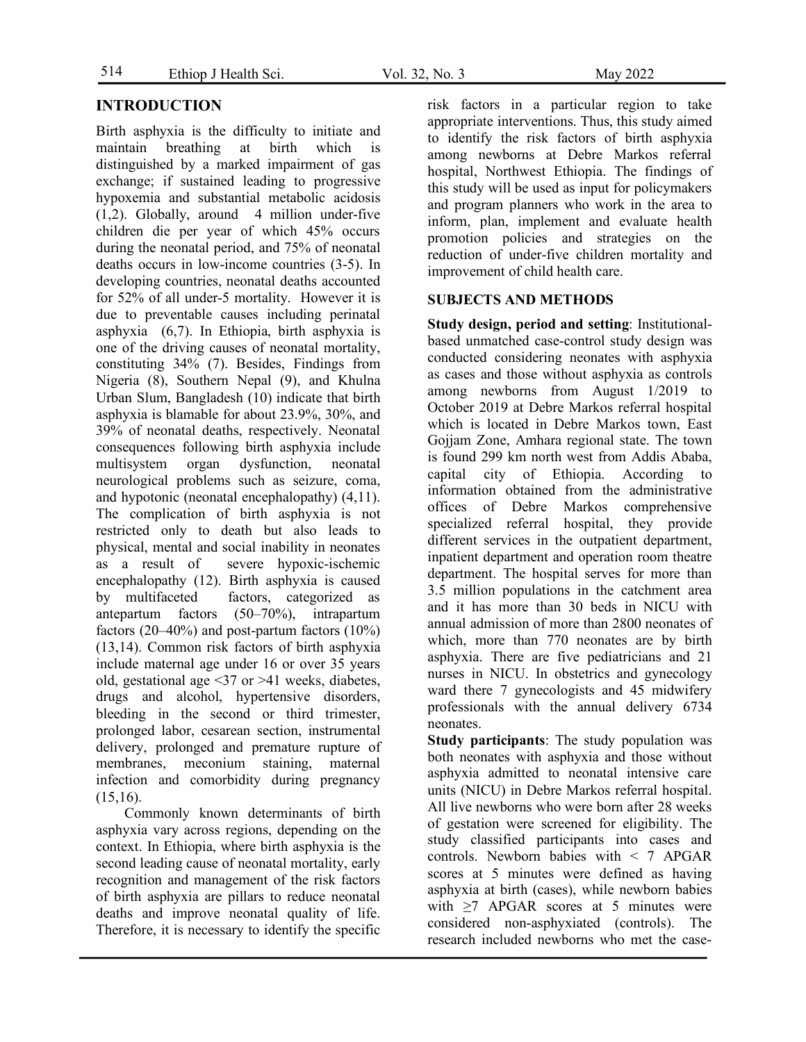# **INTRODUCTION**

Birth asphyxia is the difficulty to initiate and maintain breathing at birth which is distinguished by a marked impairment of gas exchange; if sustained leading to progressive hypoxemia and substantial metabolic acidosis  $(1,2)$ . Globally, around 4 million under-five children die per year of which 45% occurs during the neonatal period, and 75% of neonatal deaths occurs in low-income countries (3-5). In developing countries, neonatal deaths accounted for 52% of all under-5 mortality. However it is due to preventable causes including perinatal asphyxia (6,7). In Ethiopia, birth asphyxia is one of the driving causes of neonatal mortality, constituting 34% (7). Besides, Findings from Nigeria (8), Southern Nepal (9), and Khulna Urban Slum, Bangladesh (10) indicate that birth asphyxia is blamable for about 23.9%, 30%, and 39% of neonatal deaths, respectively. Neonatal consequences following birth asphyxia include multisystem organ dysfunction, neonatal neurological problems such as seizure, coma, and hypotonic (neonatal encephalopathy) (4,11). The complication of birth asphyxia is not restricted only to death but also leads to physical, mental and social inability in neonates as a result of severe hypoxic-ischemic encephalopathy (12). Birth asphyxia is caused by multifaceted factors, categorized as antepartum factors (50–70%), intrapartum factors  $(20-40\%)$  and post-partum factors  $(10\%)$ (13,14). Common risk factors of birth asphyxia include maternal age under 16 or over 35 years old, gestational age <37 or >41 weeks, diabetes, drugs and alcohol, hypertensive disorders, bleeding in the second or third trimester, prolonged labor, cesarean section, instrumental delivery, prolonged and premature rupture of membranes, meconium staining, maternal infection and comorbidity during pregnancy (15,16).

Commonly known determinants of birth asphyxia vary across regions, depending on the context. In Ethiopia, where birth asphyxia is the second leading cause of neonatal mortality, early recognition and management of the risk factors of birth asphyxia are pillars to reduce neonatal deaths and improve neonatal quality of life. Therefore, it is necessary to identify the specific risk factors in a particular region to take appropriate interventions. Thus, this study aimed to identify the risk factors of birth asphyxia among newborns at Debre Markos referral hospital, Northwest Ethiopia. The findings of this study will be used as input for policymakers and program planners who work in the area to inform, plan, implement and evaluate health promotion policies and strategies on the reduction of under-five children mortality and improvement of child health care.

## **SUBJECTS AND METHODS**

**Study design, period and setting**: Institutionalbased unmatched case-control study design was conducted considering neonates with asphyxia as cases and those without asphyxia as controls among newborns from August 1/2019 to October 2019 at Debre Markos referral hospital which is located in Debre Markos town, East Gojjam Zone, Amhara regional state. The town is found 299 km north west from Addis Ababa, capital city of Ethiopia. According to information obtained from the administrative offices of Debre Markos comprehensive specialized referral hospital, they provide different services in the outpatient department, inpatient department and operation room theatre department. The hospital serves for more than 3.5 million populations in the catchment area and it has more than 30 beds in NICU with annual admission of more than 2800 neonates of which, more than 770 neonates are by birth asphyxia. There are five pediatricians and 21 nurses in NICU. In obstetrics and gynecology ward there 7 gynecologists and 45 midwifery professionals with the annual delivery 6734 neonates.

**Study participants**: The study population was both neonates with asphyxia and those without asphyxia admitted to neonatal intensive care units (NICU) in Debre Markos referral hospital. All live newborns who were born after 28 weeks of gestation were screened for eligibility. The study classified participants into cases and controls. Newborn babies with < 7 APGAR scores at 5 minutes were defined as having asphyxia at birth (cases), while newborn babies with  $\geq$ 7 APGAR scores at 5 minutes were considered non-asphyxiated (controls). The research included newborns who met the case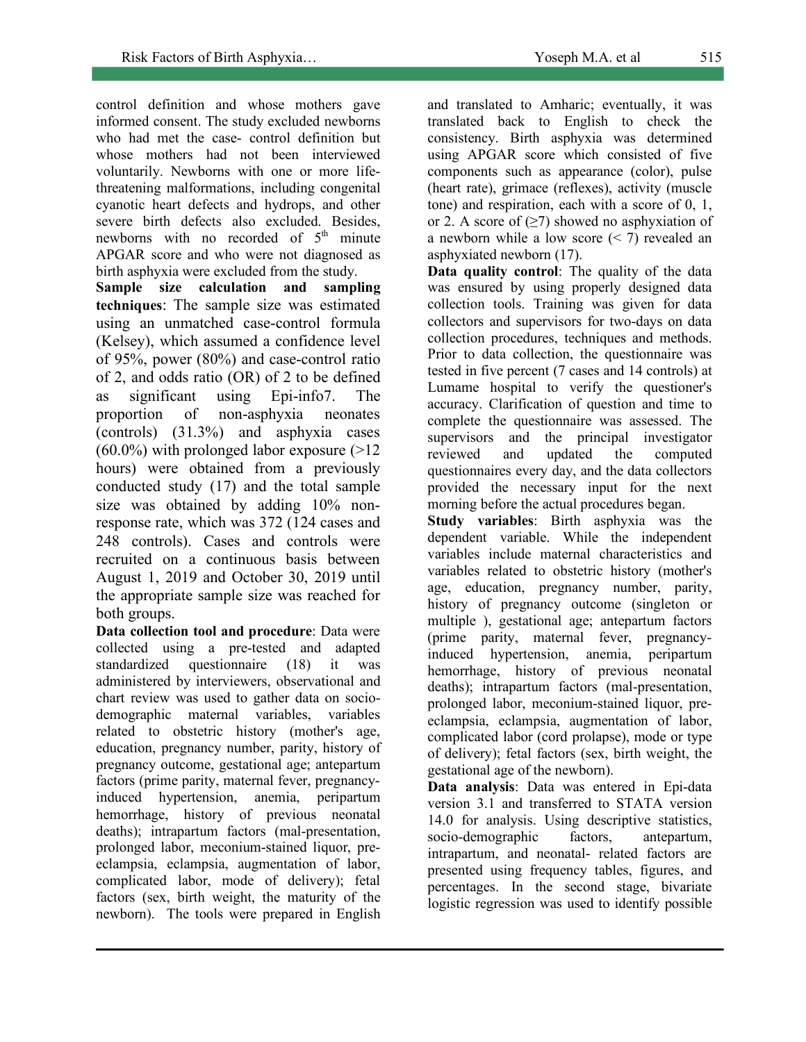control definition and whose mothers gave informed consent. The study excluded newborns who had met the case- control definition but whose mothers had not been interviewed voluntarily. Newborns with one or more lifethreatening malformations, including congenital cyanotic heart defects and hydrops, and other severe birth defects also excluded. Besides, newborns with no recorded of  $5<sup>th</sup>$  minute APGAR score and who were not diagnosed as birth asphyxia were excluded from the study.

**Sample size calculation and sampling techniques**: The sample size was estimated using an unmatched case-control formula (Kelsey), which assumed a confidence level of 95%, power (80%) and case-control ratio of 2, and odds ratio (OR) of 2 to be defined as significant using Epi-info7. The proportion of non-asphyxia neonates (controls) (31.3%) and asphyxia cases  $(60.0\%)$  with prolonged labor exposure  $(>12)$ hours) were obtained from a previously conducted study (17) and the total sample size was obtained by adding 10% nonresponse rate, which was 372 (124 cases and 248 controls). Cases and controls were recruited on a continuous basis between August 1, 2019 and October 30, 2019 until the appropriate sample size was reached for both groups.

**Data collection tool and procedure**: Data were collected using a pre-tested and adapted standardized questionnaire (18) it was administered by interviewers, observational and chart review was used to gather data on sociodemographic maternal variables, variables related to obstetric history (mother's age, education, pregnancy number, parity, history of pregnancy outcome, gestational age; antepartum factors (prime parity, maternal fever, pregnancyinduced hypertension, anemia, peripartum hemorrhage, history of previous neonatal deaths); intrapartum factors (mal-presentation, prolonged labor, meconium-stained liquor, preeclampsia, eclampsia, augmentation of labor, complicated labor, mode of delivery); fetal factors (sex, birth weight, the maturity of the newborn). The tools were prepared in English

and translated to Amharic; eventually, it was translated back to English to check the consistency. Birth asphyxia was determined using APGAR score which consisted of five components such as appearance (color), pulse (heart rate), grimace (reflexes), activity (muscle tone) and respiration, each with a score of 0, 1, or 2. A score of  $(\geq 7)$  showed no asphyxiation of a newborn while a low score  $($  <math>7) revealed an asphyxiated newborn (17).

**Data quality control**: The quality of the data was ensured by using properly designed data collection tools. Training was given for data collectors and supervisors for two-days on data collection procedures, techniques and methods. Prior to data collection, the questionnaire was tested in five percent (7 cases and 14 controls) at Lumame hospital to verify the questioner's accuracy. Clarification of question and time to complete the questionnaire was assessed. The supervisors and the principal investigator reviewed and updated the computed questionnaires every day, and the data collectors provided the necessary input for the next morning before the actual procedures began.

**Study variables**: Birth asphyxia was the dependent variable. While the independent variables include maternal characteristics and variables related to obstetric history (mother's age, education, pregnancy number, parity, history of pregnancy outcome (singleton or multiple ), gestational age; antepartum factors (prime parity, maternal fever, pregnancyinduced hypertension, anemia, peripartum hemorrhage, history of previous neonatal deaths); intrapartum factors (mal-presentation, prolonged labor, meconium-stained liquor, preeclampsia, eclampsia, augmentation of labor, complicated labor (cord prolapse), mode or type of delivery); fetal factors (sex, birth weight, the gestational age of the newborn).

**Data analysis**: Data was entered in Epi-data version 3.1 and transferred to STATA version 14.0 for analysis. Using descriptive statistics, socio-demographic factors, antepartum, intrapartum, and neonatal- related factors are presented using frequency tables, figures, and percentages. In the second stage, bivariate logistic regression was used to identify possible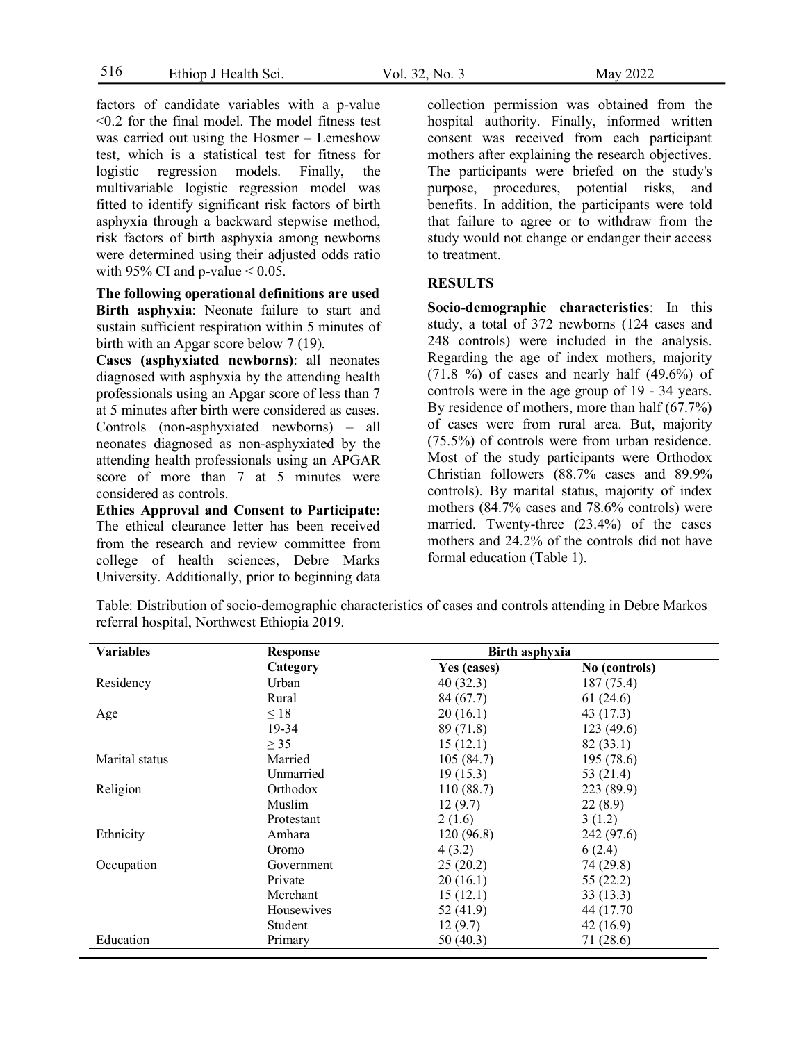factors of candidate variables with a p-value <0.2 for the final model. The model fitness test was carried out using the Hosmer – Lemeshow test, which is a statistical test for fitness for logistic regression models. Finally, the multivariable logistic regression model was fitted to identify significant risk factors of birth asphyxia through a backward stepwise method, risk factors of birth asphyxia among newborns were determined using their adjusted odds ratio with 95% CI and p-value  $< 0.05$ .

**The following operational definitions are used Birth asphyxia**: Neonate failure to start and sustain sufficient respiration within 5 minutes of birth with an Apgar score below 7 (19).

**Cases (asphyxiated newborns)**: all neonates diagnosed with asphyxia by the attending health professionals using an Apgar score of less than 7 at 5 minutes after birth were considered as cases. Controls (non-asphyxiated newborns) – all neonates diagnosed as non-asphyxiated by the attending health professionals using an APGAR score of more than 7 at 5 minutes were considered as controls.

**Ethics Approval and Consent to Participate:**  The ethical clearance letter has been received from the research and review committee from college of health sciences, Debre Marks University. Additionally, prior to beginning data collection permission was obtained from the hospital authority. Finally, informed written consent was received from each participant mothers after explaining the research objectives. The participants were briefed on the study's purpose, procedures, potential risks, and benefits. In addition, the participants were told that failure to agree or to withdraw from the study would not change or endanger their access to treatment.

### **RESULTS**

**Socio**-**demographic characteristics**: In this study, a total of 372 newborns (124 cases and 248 controls) were included in the analysis. Regarding the age of index mothers, majority  $(71.8 \%)$  of cases and nearly half  $(49.6\%)$  of controls were in the age group of 19 - 34 years. By residence of mothers, more than half (67.7%) of cases were from rural area. But, majority (75.5%) of controls were from urban residence. Most of the study participants were Orthodox Christian followers (88.7% cases and 89.9% controls). By marital status, majority of index mothers (84.7% cases and 78.6% controls) were married. Twenty-three (23.4%) of the cases mothers and 24.2% of the controls did not have formal education (Table 1).

Table: Distribution of socio-demographic characteristics of cases and controls attending in Debre Markos referral hospital, Northwest Ethiopia 2019.

| <b>Variables</b> | <b>Response</b> | Birth asphyxia |               |
|------------------|-----------------|----------------|---------------|
|                  | Category        | Yes (cases)    | No (controls) |
| Residency        | Urban           | 40(32.3)       | 187(75.4)     |
|                  | Rural           | 84(67.7)       | 61(24.6)      |
| Age              | $\leq 18$       | 20(16.1)       | 43 (17.3)     |
|                  | 19-34           | 89 (71.8)      | 123(49.6)     |
|                  | $\geq$ 35       | 15(12.1)       | 82 (33.1)     |
| Marital status   | Married         | 105(84.7)      | 195 (78.6)    |
|                  | Unmarried       | 19(15.3)       | 53 $(21.4)$   |
| Religion         | Orthodox        | 110(88.7)      | 223 (89.9)    |
|                  | Muslim          | 12(9.7)        | 22(8.9)       |
|                  | Protestant      | 2(1.6)         | 3(1.2)        |
| Ethnicity        | Amhara          | 120(96.8)      | 242 (97.6)    |
|                  | Oromo           | 4(3.2)         | 6(2.4)        |
| Occupation       | Government      | 25(20.2)       | 74 (29.8)     |
|                  | Private         | 20(16.1)       | 55(22.2)      |
|                  | Merchant        | 15(12.1)       | 33(13.3)      |
|                  | Housewives      | 52 (41.9)      | 44 (17.70)    |
|                  | Student         | 12(9.7)        | 42(16.9)      |
| Education        | Primary         | 50 (40.3)      | 71 (28.6)     |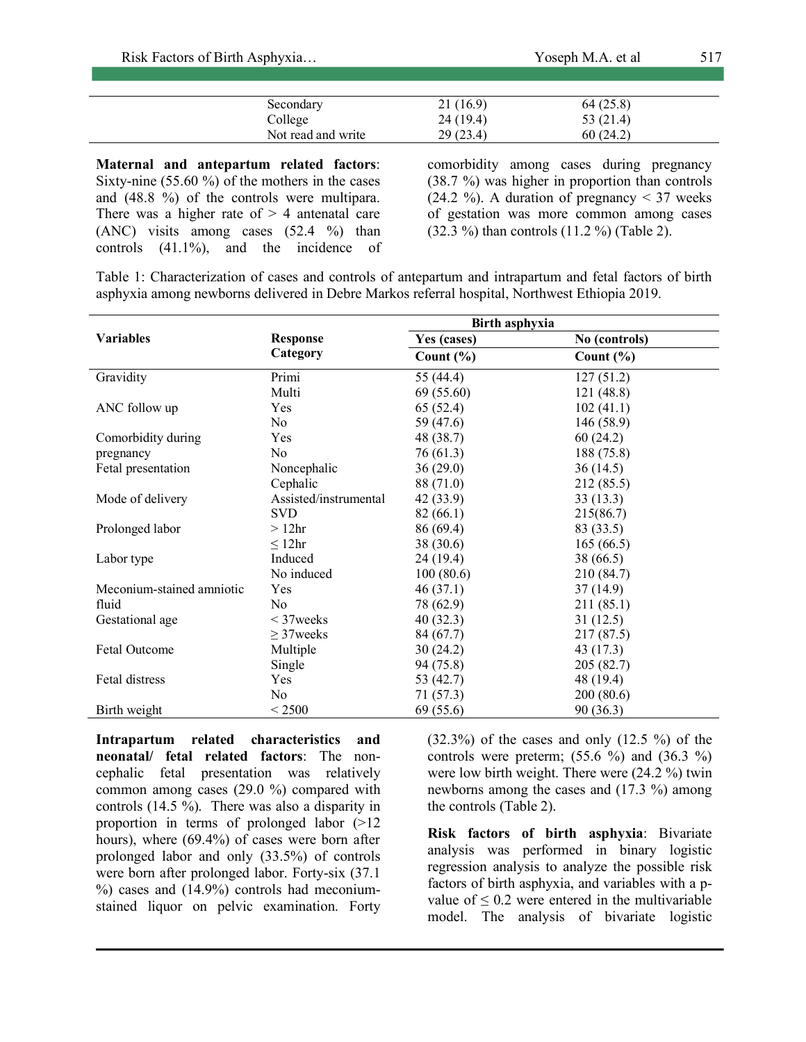| Risk Factors of Birth Asphyxia |                    |          | Yoseph M.A. et al |  |
|--------------------------------|--------------------|----------|-------------------|--|
|                                |                    |          |                   |  |
|                                | Secondary          | 21(16.9) | 64(25.8)          |  |
|                                | College            | 24(19.4) | 53 $(21.4)$       |  |
|                                | Not read and write | 29(23.4) | 60(24.2)          |  |

**Maternal and antepartum related factors**: Sixty-nine (55.60 %) of the mothers in the cases and (48.8 %) of the controls were multipara. There was a higher rate of  $> 4$  antenatal care (ANC) visits among cases (52.4 %) than controls (41.1%), and the incidence of

L

comorbidity among cases during pregnancy (38.7 %) was higher in proportion than controls  $(24.2 \%)$ . A duration of pregnancy  $\leq 37$  weeks of gestation was more common among cases (32.3 %) than controls (11.2 %) (Table 2).

Table 1: Characterization of cases and controls of antepartum and intrapartum and fetal factors of birth asphyxia among newborns delivered in Debre Markos referral hospital, Northwest Ethiopia 2019.

|                           |                       | Birth asphyxia |               |
|---------------------------|-----------------------|----------------|---------------|
| <b>Variables</b>          | <b>Response</b>       | Yes (cases)    | No (controls) |
|                           | Category              | Count $(\% )$  | Count $(\% )$ |
| Gravidity                 | Primi                 | 55 (44.4)      | 127(51.2)     |
|                           | Multi                 | 69 (55.60)     | 121(48.8)     |
| ANC follow up             | Yes                   | 65(52.4)       | 102(41.1)     |
|                           | No                    | 59 (47.6)      | 146(58.9)     |
| Comorbidity during        | Yes                   | 48 (38.7)      | 60(24.2)      |
| pregnancy                 | No                    | 76(61.3)       | 188 (75.8)    |
| Fetal presentation        | Noncephalic           | 36(29.0)       | 36(14.5)      |
|                           | Cephalic              | 88 (71.0)      | 212 (85.5)    |
| Mode of delivery          | Assisted/instrumental | 42 (33.9)      | 33(13.3)      |
|                           | <b>SVD</b>            | 82(66.1)       | 215(86.7)     |
| Prolonged labor           | $>12$ hr              | 86 (69.4)      | 83 (33.5)     |
|                           | $\leq 12$ hr          | 38 (30.6)      | 165(66.5)     |
| Labor type                | Induced               | 24 (19.4)      | 38 (66.5)     |
|                           | No induced            | 100(80.6)      | 210 (84.7)    |
| Meconium-stained amniotic | Yes                   | 46(37.1)       | 37(14.9)      |
| fluid                     | N <sub>0</sub>        | 78 (62.9)      | 211(85.1)     |
| Gestational age           | $\leq$ 37 weeks       | 40(32.3)       | 31(12.5)      |
|                           | $\geq$ 37 weeks       | 84 (67.7)      | 217 (87.5)    |
| Fetal Outcome             | Multiple              | 30(24.2)       | 43 (17.3)     |
|                           | Single                | 94 (75.8)      | 205(82.7)     |
| Fetal distress            | Yes                   | 53 (42.7)      | 48 (19.4)     |
|                           | No                    | 71(57.3)       | 200(80.6)     |
| Birth weight              | ${}<$ 2500            | 69(55.6)       | 90 (36.3)     |

**Intrapartum related characteristics and neonatal/ fetal related factors**: The noncephalic fetal presentation was relatively common among cases (29.0 %) compared with controls (14.5 %). There was also a disparity in proportion in terms of prolonged labor (>12 hours), where (69.4%) of cases were born after prolonged labor and only (33.5%) of controls were born after prolonged labor. Forty-six (37.1 %) cases and (14.9%) controls had meconiumstained liquor on pelvic examination. Forty  $(32.3\%)$  of the cases and only  $(12.5\%)$  of the controls were preterm;  $(55.6 \%)$  and  $(36.3 \%)$ were low birth weight. There were (24.2 %) twin newborns among the cases and (17.3 %) among the controls (Table 2).

**Risk factors of birth asphyxia**: Bivariate analysis was performed in binary logistic regression analysis to analyze the possible risk factors of birth asphyxia, and variables with a pvalue of  $\leq 0.2$  were entered in the multivariable model. The analysis of bivariate logistic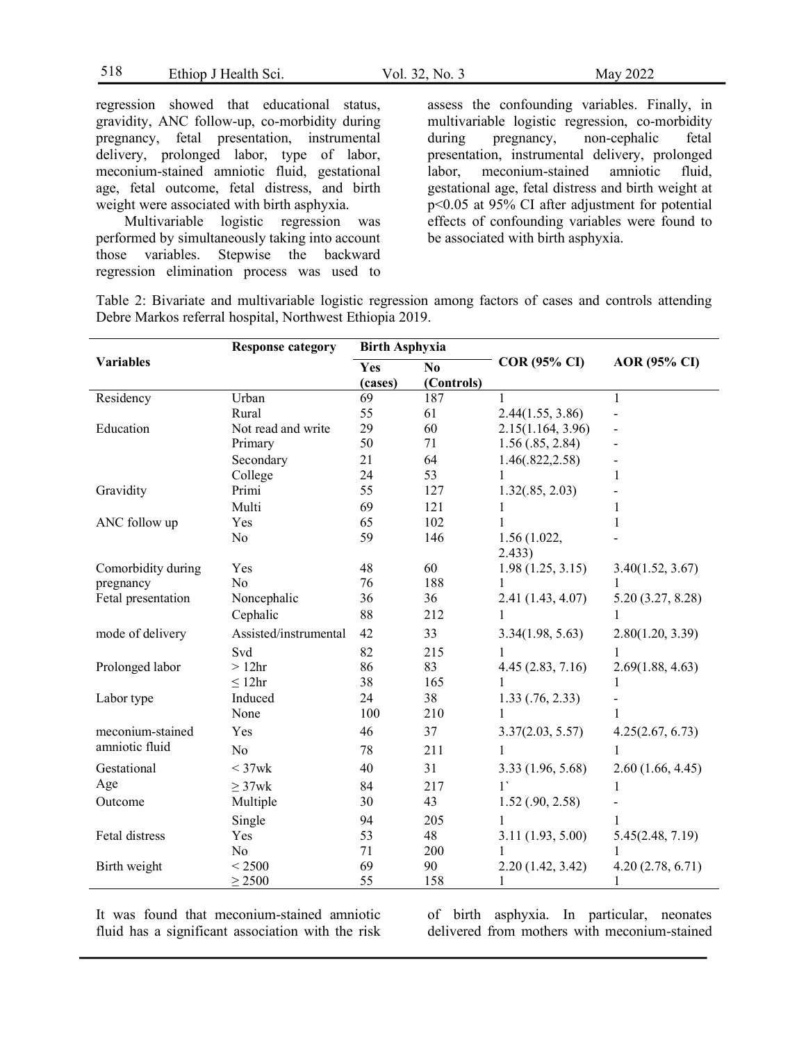518 Ethiop J Health Sci. Vol. 32, No. 3 May 2022

regression showed that educational status, gravidity, ANC follow-up, co-morbidity during pregnancy, fetal presentation, instrumental delivery, prolonged labor, type of labor, meconium-stained amniotic fluid, gestational age, fetal outcome, fetal distress, and birth weight were associated with birth asphyxia.

Multivariable logistic regression was performed by simultaneously taking into account those variables. Stepwise the backward regression elimination process was used to assess the confounding variables. Finally, in multivariable logistic regression, co-morbidity during pregnancy, non-cephalic fetal presentation, instrumental delivery, prolonged labor, meconium-stained amniotic fluid, gestational age, fetal distress and birth weight at p<0.05 at 95% CI after adjustment for potential effects of confounding variables were found to be associated with birth asphyxia.

Table 2: Bivariate and multivariable logistic regression among factors of cases and controls attending Debre Markos referral hospital, Northwest Ethiopia 2019.

|                    | <b>Response category</b> | <b>Birth Asphyxia</b> |                              |                       |                     |  |
|--------------------|--------------------------|-----------------------|------------------------------|-----------------------|---------------------|--|
| <b>Variables</b>   |                          | Yes<br>(cases)        | N <sub>0</sub><br>(Controls) | <b>COR (95% CI)</b>   | <b>AOR</b> (95% CI) |  |
| Residency          | Urban                    | 69                    | 187                          | 1                     | $\mathbf{1}$        |  |
|                    | Rural                    | 55                    | 61                           | 2.44(1.55, 3.86)      |                     |  |
| Education          | Not read and write       | 29                    | 60                           | 2.15(1.164, 3.96)     |                     |  |
|                    | Primary                  | 50                    | 71                           | 1.56(.85, 2.84)       |                     |  |
|                    | Secondary                | 21                    | 64                           | 1.46(.822, 2.58)      |                     |  |
|                    | College                  | 24                    | 53                           | 1                     | 1                   |  |
| Gravidity          | Primi                    | 55                    | 127                          | 1.32(.85, 2.03)       |                     |  |
|                    | Multi                    | 69                    | 121                          |                       | 1                   |  |
| ANC follow up      | Yes                      | 65                    | 102                          |                       | 1                   |  |
|                    | N <sub>0</sub>           | 59                    | 146                          | 1.56(1.022,<br>2.433) |                     |  |
| Comorbidity during | Yes                      | 48                    | 60                           | 1.98(1.25, 3.15)      | 3.40(1.52, 3.67)    |  |
| pregnancy          | N <sub>o</sub>           | 76                    | 188                          |                       |                     |  |
| Fetal presentation | Noncephalic              | 36                    | 36                           | 2.41 (1.43, 4.07)     | 5.20(3.27, 8.28)    |  |
|                    | Cephalic                 | 88                    | 212                          | 1                     | 1                   |  |
| mode of delivery   | Assisted/instrumental    | 42                    | 33                           | 3.34(1.98, 5.63)      | 2.80(1.20, 3.39)    |  |
|                    | Svd                      | 82                    | 215                          |                       | 1                   |  |
| Prolonged labor    | $>12$ hr                 | 86                    | 83                           | 4.45(2.83, 7.16)      | 2.69(1.88, 4.63)    |  |
|                    | $\leq 12$ hr             | 38                    | 165                          |                       |                     |  |
| Labor type         | Induced                  | 24                    | 38                           | $1.33$ $(.76, 2.33)$  |                     |  |
|                    | None                     | 100                   | 210                          |                       | $\mathbf{1}$        |  |
| meconium-stained   | Yes                      | 46                    | 37                           | 3.37(2.03, 5.57)      | 4.25(2.67, 6.73)    |  |
| amniotic fluid     | N <sub>o</sub>           | 78                    | 211                          | 1                     | 1                   |  |
| Gestational        | $<$ 37wk                 | 40                    | 31                           | 3.33(1.96, 5.68)      | 2.60(1.66, 4.45)    |  |
| Age                | $\geq$ 37wk              | 84                    | 217                          | 1                     | 1                   |  |
| Outcome            | Multiple                 | 30                    | 43                           | $1.52$ (.90, 2.58)    |                     |  |
|                    | Single                   | 94                    | 205                          |                       |                     |  |
| Fetal distress     | Yes                      | 53                    | 48                           | 3.11(1.93, 5.00)      | 5.45(2.48, 7.19)    |  |
|                    | N <sub>0</sub>           | 71                    | 200                          |                       |                     |  |
| Birth weight       | < 2500                   | 69                    | 90                           | 2.20(1.42, 3.42)      | 4.20(2.78, 6.71)    |  |
|                    | $\geq$ 2500              | 55                    | 158                          | 1                     |                     |  |

It was found that meconium-stained amniotic fluid has a significant association with the risk of birth asphyxia. In particular, neonates delivered from mothers with meconium-stained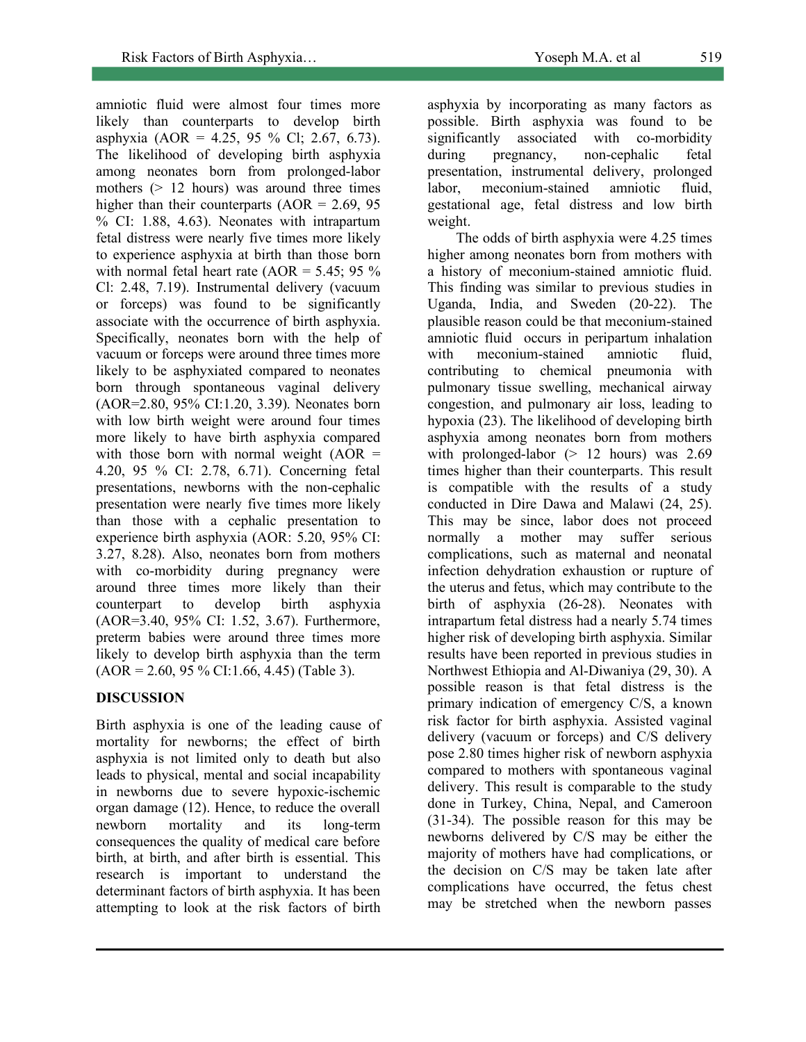amniotic fluid were almost four times more likely than counterparts to develop birth asphyxia (AOR = 4.25, 95 % Cl; 2.67, 6.73). The likelihood of developing birth asphyxia among neonates born from prolonged-labor mothers ( $> 12$  hours) was around three times higher than their counterparts  $(AOR = 2.69, 95)$ % CI: 1.88, 4.63). Neonates with intrapartum fetal distress were nearly five times more likely to experience asphyxia at birth than those born with normal fetal heart rate  $(AOR = 5.45; 95\%$ Cl: 2.48, 7.19). Instrumental delivery (vacuum or forceps) was found to be significantly associate with the occurrence of birth asphyxia. Specifically, neonates born with the help of vacuum or forceps were around three times more likely to be asphyxiated compared to neonates born through spontaneous vaginal delivery (AOR=2.80, 95% CI:1.20, 3.39). Neonates born with low birth weight were around four times more likely to have birth asphyxia compared with those born with normal weight  $(AOR =$ 4.20, 95 % CI: 2.78, 6.71). Concerning fetal presentations, newborns with the non-cephalic presentation were nearly five times more likely than those with a cephalic presentation to experience birth asphyxia (AOR: 5.20, 95% CI: 3.27, 8.28). Also, neonates born from mothers with co-morbidity during pregnancy were around three times more likely than their counterpart to develop birth asphyxia (AOR=3.40, 95% CI: 1.52, 3.67). Furthermore, preterm babies were around three times more likely to develop birth asphyxia than the term  $(AOR = 2.60, 95\% CI: 1.66, 4.45)$  (Table 3).

## **DISCUSSION**

Birth asphyxia is one of the leading cause of mortality for newborns; the effect of birth asphyxia is not limited only to death but also leads to physical, mental and social incapability in newborns due to severe hypoxic-ischemic organ damage (12). Hence, to reduce the overall newborn mortality and its long-term consequences the quality of medical care before birth, at birth, and after birth is essential. This research is important to understand the determinant factors of birth asphyxia. It has been attempting to look at the risk factors of birth asphyxia by incorporating as many factors as possible. Birth asphyxia was found to be significantly associated with co-morbidity during pregnancy, non-cephalic fetal presentation, instrumental delivery, prolonged labor, meconium-stained amniotic fluid, gestational age, fetal distress and low birth weight.

The odds of birth asphyxia were 4.25 times higher among neonates born from mothers with a history of meconium-stained amniotic fluid. This finding was similar to previous studies in Uganda, India, and Sweden (20-22). The plausible reason could be that meconium-stained amniotic fluid occurs in peripartum inhalation with meconium-stained amniotic fluid, contributing to chemical pneumonia with pulmonary tissue swelling, mechanical airway congestion, and pulmonary air loss, leading to hypoxia (23). The likelihood of developing birth asphyxia among neonates born from mothers with prolonged-labor  $(> 12$  hours) was 2.69 times higher than their counterparts. This result is compatible with the results of a study conducted in Dire Dawa and Malawi (24, 25). This may be since, labor does not proceed normally a mother may suffer serious complications, such as maternal and neonatal infection dehydration exhaustion or rupture of the uterus and fetus, which may contribute to the birth of asphyxia (26-28). Neonates with intrapartum fetal distress had a nearly 5.74 times higher risk of developing birth asphyxia. Similar results have been reported in previous studies in Northwest Ethiopia and Al-Diwaniya (29, 30). A possible reason is that fetal distress is the primary indication of emergency C/S, a known risk factor for birth asphyxia. Assisted vaginal delivery (vacuum or forceps) and C/S delivery pose 2.80 times higher risk of newborn asphyxia compared to mothers with spontaneous vaginal delivery. This result is comparable to the study done in Turkey, China, Nepal, and Cameroon (31-34). The possible reason for this may be newborns delivered by C/S may be either the majority of mothers have had complications, or the decision on C/S may be taken late after complications have occurred, the fetus chest may be stretched when the newborn passes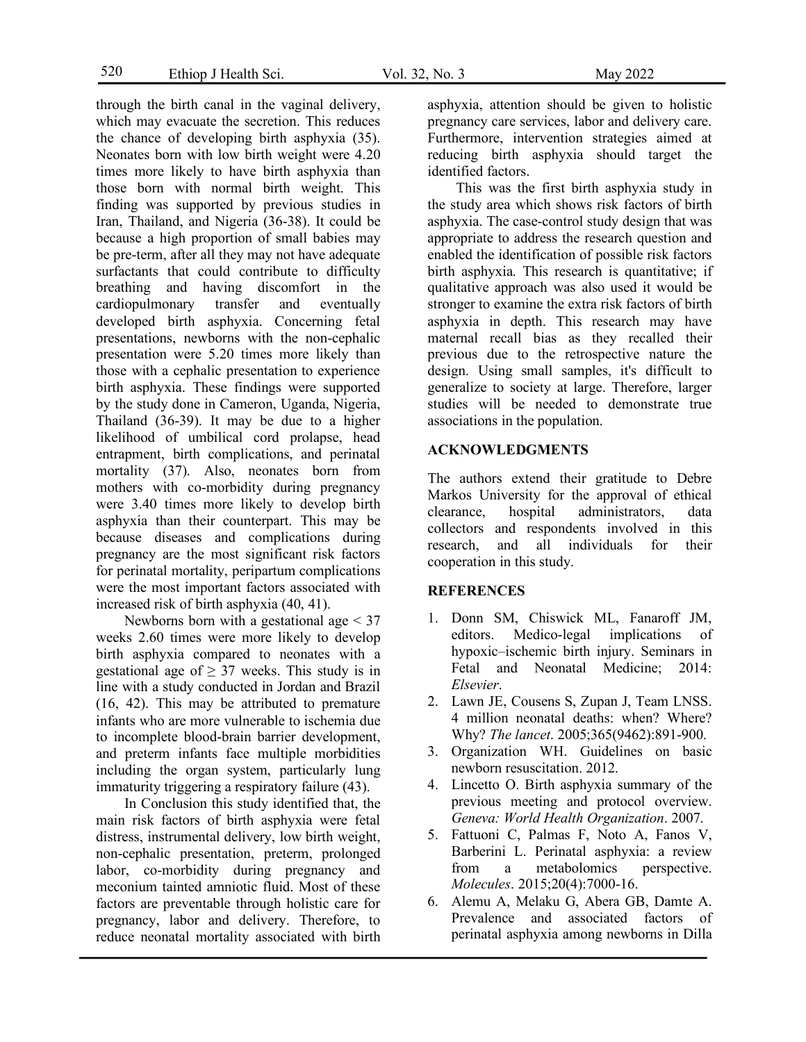through the birth canal in the vaginal delivery, which may evacuate the secretion. This reduces the chance of developing birth asphyxia (35). Neonates born with low birth weight were 4.20 times more likely to have birth asphyxia than those born with normal birth weight. This finding was supported by previous studies in Iran, Thailand, and Nigeria (36-38). It could be because a high proportion of small babies may be pre-term, after all they may not have adequate surfactants that could contribute to difficulty breathing and having discomfort in the cardiopulmonary transfer and eventually developed birth asphyxia. Concerning fetal presentations, newborns with the non-cephalic presentation were 5.20 times more likely than those with a cephalic presentation to experience birth asphyxia. These findings were supported by the study done in Cameron, Uganda, Nigeria, Thailand (36-39). It may be due to a higher likelihood of umbilical cord prolapse, head entrapment, birth complications, and perinatal mortality (37). Also, neonates born from mothers with co-morbidity during pregnancy were 3.40 times more likely to develop birth asphyxia than their counterpart. This may be because diseases and complications during pregnancy are the most significant risk factors for perinatal mortality, peripartum complications were the most important factors associated with increased risk of birth asphyxia (40, 41).

Newborns born with a gestational age < 37 weeks 2.60 times were more likely to develop birth asphyxia compared to neonates with a gestational age of  $\geq$  37 weeks. This study is in line with a study conducted in Jordan and Brazil (16, 42). This may be attributed to premature infants who are more vulnerable to ischemia due to incomplete blood-brain barrier development, and preterm infants face multiple morbidities including the organ system, particularly lung immaturity triggering a respiratory failure (43).

In Conclusion this study identified that, the main risk factors of birth asphyxia were fetal distress, instrumental delivery, low birth weight, non-cephalic presentation, preterm, prolonged labor, co-morbidity during pregnancy and meconium tainted amniotic fluid. Most of these factors are preventable through holistic care for pregnancy, labor and delivery. Therefore, to reduce neonatal mortality associated with birth asphyxia, attention should be given to holistic pregnancy care services, labor and delivery care. Furthermore, intervention strategies aimed at reducing birth asphyxia should target the identified factors.

This was the first birth asphyxia study in the study area which shows risk factors of birth asphyxia. The case-control study design that was appropriate to address the research question and enabled the identification of possible risk factors birth asphyxia. This research is quantitative; if qualitative approach was also used it would be stronger to examine the extra risk factors of birth asphyxia in depth. This research may have maternal recall bias as they recalled their previous due to the retrospective nature the design. Using small samples, it's difficult to generalize to society at large. Therefore, larger studies will be needed to demonstrate true associations in the population.

### **ACKNOWLEDGMENTS**

The authors extend their gratitude to Debre Markos University for the approval of ethical clearance, hospital administrators, data collectors and respondents involved in this research, and all individuals for their cooperation in this study.

### **REFERENCES**

- 1. Donn SM, Chiswick ML, Fanaroff JM, editors. Medico-legal implications of hypoxic–ischemic birth injury. Seminars in Fetal and Neonatal Medicine; 2014: *Elsevier*.
- 2. Lawn JE, Cousens S, Zupan J, Team LNSS. 4 million neonatal deaths: when? Where? Why? *The lancet*. 2005;365(9462):891-900.
- 3. Organization WH. Guidelines on basic newborn resuscitation. 2012.
- 4. Lincetto O. Birth asphyxia summary of the previous meeting and protocol overview. *Geneva: World Health Organization*. 2007.
- 5. Fattuoni C, Palmas F, Noto A, Fanos V, Barberini L. Perinatal asphyxia: a review from a metabolomics perspective. *Molecules*. 2015;20(4):7000-16.
- 6. Alemu A, Melaku G, Abera GB, Damte A. Prevalence and associated factors of perinatal asphyxia among newborns in Dilla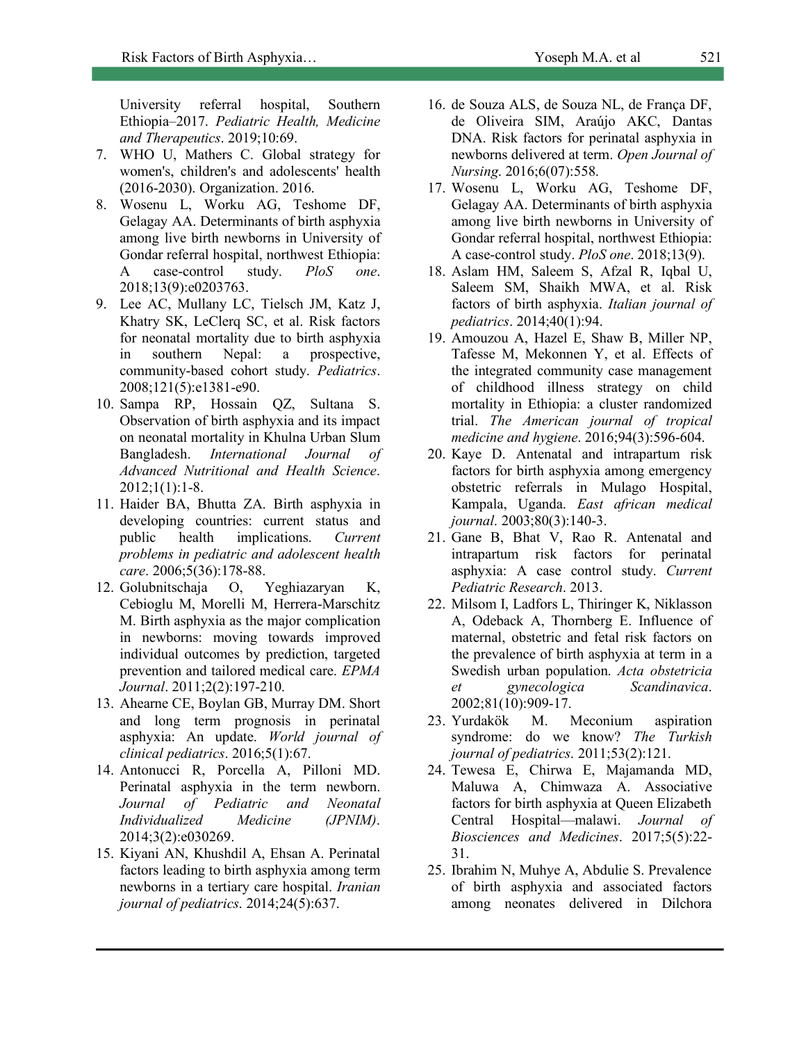University referral hospital, Southern Ethiopia–2017. *Pediatric Health, Medicine and Therapeutics*. 2019;10:69.

- 7. WHO U, Mathers C. Global strategy for women's, children's and adolescents' health (2016-2030). Organization. 2016.
- 8. Wosenu L, Worku AG, Teshome DF, Gelagay AA. Determinants of birth asphyxia among live birth newborns in University of Gondar referral hospital, northwest Ethiopia: A case-control study. *PloS one*. 2018;13(9):e0203763.
- 9. Lee AC, Mullany LC, Tielsch JM, Katz J, Khatry SK, LeClerq SC, et al. Risk factors for neonatal mortality due to birth asphyxia in southern Nepal: a prospective, community-based cohort study. *Pediatrics*. 2008;121(5):e1381-e90.
- 10. Sampa RP, Hossain QZ, Sultana S. Observation of birth asphyxia and its impact on neonatal mortality in Khulna Urban Slum Bangladesh. *International Journal of Advanced Nutritional and Health Science*. 2012;1(1):1-8.
- 11. Haider BA, Bhutta ZA. Birth asphyxia in developing countries: current status and public health implications. *Current problems in pediatric and adolescent health care*. 2006;5(36):178-88.
- 12. Golubnitschaja O, Yeghiazaryan K, Cebioglu M, Morelli M, Herrera-Marschitz M. Birth asphyxia as the major complication in newborns: moving towards improved individual outcomes by prediction, targeted prevention and tailored medical care. *EPMA Journal*. 2011;2(2):197-210.
- 13. Ahearne CE, Boylan GB, Murray DM. Short and long term prognosis in perinatal asphyxia: An update. *World journal of clinical pediatrics*. 2016;5(1):67.
- 14. Antonucci R, Porcella A, Pilloni MD. Perinatal asphyxia in the term newborn. *Journal of Pediatric and Neonatal Individualized Medicine (JPNIM)*. 2014;3(2):e030269.
- 15. Kiyani AN, Khushdil A, Ehsan A. Perinatal factors leading to birth asphyxia among term newborns in a tertiary care hospital. *Iranian journal of pediatrics*. 2014;24(5):637.
- 16. de Souza ALS, de Souza NL, de França DF, de Oliveira SIM, Araújo AKC, Dantas DNA. Risk factors for perinatal asphyxia in newborns delivered at term. *Open Journal of Nursing*. 2016;6(07):558.
- 17. Wosenu L, Worku AG, Teshome DF, Gelagay AA. Determinants of birth asphyxia among live birth newborns in University of Gondar referral hospital, northwest Ethiopia: A case-control study. *PloS one*. 2018;13(9).
- 18. Aslam HM, Saleem S, Afzal R, Iqbal U, Saleem SM, Shaikh MWA, et al. Risk factors of birth asphyxia. *Italian journal of pediatrics*. 2014;40(1):94.
- 19. Amouzou A, Hazel E, Shaw B, Miller NP, Tafesse M, Mekonnen Y, et al. Effects of the integrated community case management of childhood illness strategy on child mortality in Ethiopia: a cluster randomized trial. *The American journal of tropical medicine and hygiene*. 2016;94(3):596-604.
- 20. Kaye D. Antenatal and intrapartum risk factors for birth asphyxia among emergency obstetric referrals in Mulago Hospital, Kampala, Uganda. *East african medical journal*. 2003;80(3):140-3.
- 21. Gane B, Bhat V, Rao R. Antenatal and intrapartum risk factors for perinatal asphyxia: A case control study. *Current Pediatric Research*. 2013.
- 22. Milsom I, Ladfors L, Thiringer K, Niklasson A, Odeback A, Thornberg E. Influence of maternal, obstetric and fetal risk factors on the prevalence of birth asphyxia at term in a Swedish urban population. *Acta obstetricia et gynecologica Scandinavica*. 2002;81(10):909-17.
- 23. Yurdakök M. Meconium aspiration syndrome: do we know? *The Turkish journal of pediatrics*. 2011;53(2):121.
- 24. Tewesa E, Chirwa E, Majamanda MD, Maluwa A, Chimwaza A. Associative factors for birth asphyxia at Queen Elizabeth Central Hospital—malawi. *Journal of Biosciences and Medicines*. 2017;5(5):22- 31.
- 25. Ibrahim N, Muhye A, Abdulie S. Prevalence of birth asphyxia and associated factors among neonates delivered in Dilchora